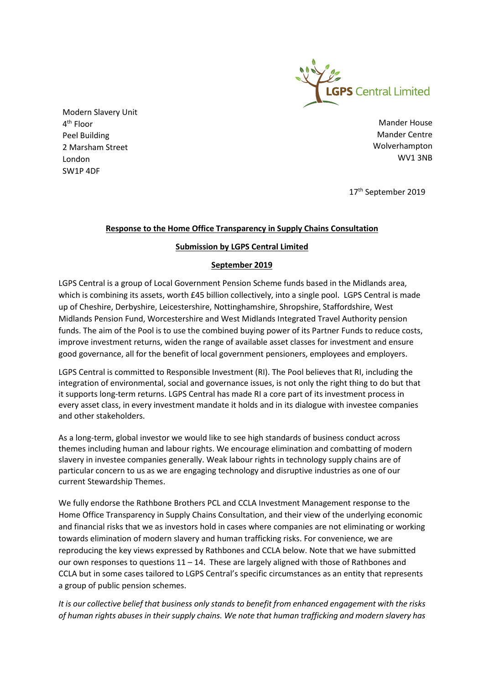

Modern Slavery Unit 4<sup>th</sup> Floor Peel Building 2 Marsham Street London SW1P 4DF

Mander House Mander Centre Wolverhampton WV1 3NB

17th September 2019

## **Response to the Home Office Transparency in Supply Chains Consultation**

## **Submission by LGPS Central Limited**

## **September 2019**

LGPS Central is a group of Local Government Pension Scheme funds based in the Midlands area, which is combining its assets, worth £45 billion collectively, into a single pool. LGPS Central is made up of Cheshire, Derbyshire, Leicestershire, Nottinghamshire, Shropshire, Staffordshire, West Midlands Pension Fund, Worcestershire and West Midlands Integrated Travel Authority pension funds. The aim of the Pool is to use the combined buying power of its Partner Funds to reduce costs, improve investment returns, widen the range of available asset classes for investment and ensure good governance, all for the benefit of local government pensioners, employees and employers.

LGPS Central is committed to Responsible Investment (RI). The Pool believes that RI, including the integration of environmental, social and governance issues, is not only the right thing to do but that it supports long-term returns. LGPS Central has made RI a core part of its investment process in every asset class, in every investment mandate it holds and in its dialogue with investee companies and other stakeholders.

As a long-term, global investor we would like to see high standards of business conduct across themes including human and labour rights. We encourage elimination and combatting of modern slavery in investee companies generally. Weak labour rights in technology supply chains are of particular concern to us as we are engaging technology and disruptive industries as one of our current Stewardship Themes.

We fully endorse the Rathbone Brothers PCL and CCLA Investment Management response to the Home Office Transparency in Supply Chains Consultation, and their view of the underlying economic and financial risks that we as investors hold in cases where companies are not eliminating or working towards elimination of modern slavery and human trafficking risks. For convenience, we are reproducing the key views expressed by Rathbones and CCLA below. Note that we have submitted our own responses to questions 11 – 14. These are largely aligned with those of Rathbones and CCLA but in some cases tailored to LGPS Central's specific circumstances as an entity that represents a group of public pension schemes.

*It is our collective belief that business only stands to benefit from enhanced engagement with the risks of human rights abuses in their supply chains. We note that human trafficking and modern slavery has*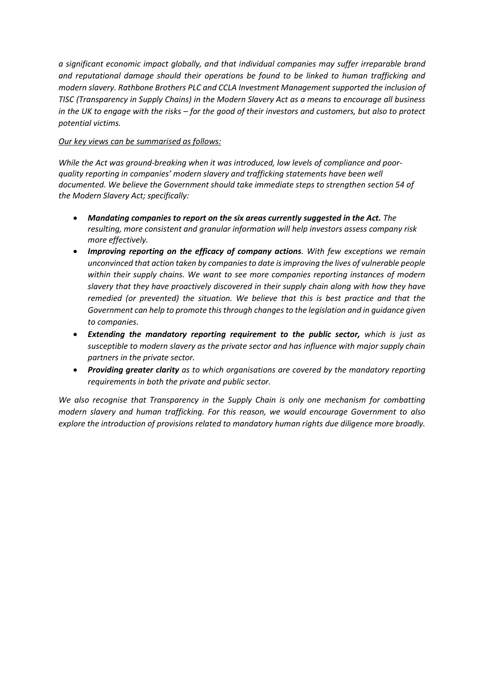*a significant economic impact globally, and that individual companies may suffer irreparable brand and reputational damage should their operations be found to be linked to human trafficking and modern slavery. Rathbone Brothers PLC and CCLA Investment Management supported the inclusion of TISC (Transparency in Supply Chains) in the Modern Slavery Act as a means to encourage all business in the UK to engage with the risks – for the good of their investors and customers, but also to protect potential victims.*

### *Our key views can be summarised as follows:*

*While the Act was ground-breaking when it was introduced, low levels of compliance and poorquality reporting in companies' modern slavery and trafficking statements have been well documented. We believe the Government should take immediate steps to strengthen section 54 of the Modern Slavery Act; specifically:*

- *Mandating companies to report on the six areas currently suggested in the Act. The resulting, more consistent and granular information will help investors assess company risk more effectively.*
- *Improving reporting on the efficacy of company actions. With few exceptions we remain unconvinced that action taken by companies to date is improving the lives of vulnerable people within their supply chains. We want to see more companies reporting instances of modern slavery that they have proactively discovered in their supply chain along with how they have remedied (or prevented) the situation. We believe that this is best practice and that the Government can help to promote thisthrough changes to the legislation and in guidance given to companies.*
- *Extending the mandatory reporting requirement to the public sector, which is just as susceptible to modern slavery as the private sector and has influence with major supply chain partners in the private sector.*
- *Providing greater clarity as to which organisations are covered by the mandatory reporting requirements in both the private and public sector.*

*We also recognise that Transparency in the Supply Chain is only one mechanism for combatting modern slavery and human trafficking. For this reason, we would encourage Government to also explore the introduction of provisions related to mandatory human rights due diligence more broadly.*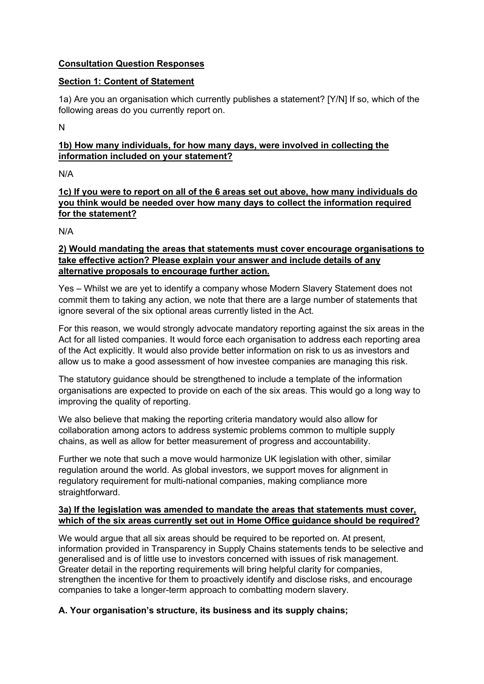# **Consultation Question Responses**

## **Section 1: Content of Statement**

1a) Are you an organisation which currently publishes a statement? [Y/N] If so, which of the following areas do you currently report on.

N

# **1b) How many individuals, for how many days, were involved in collecting the information included on your statement?**

N/A

# **1c) If you were to report on all of the 6 areas set out above, how many individuals do you think would be needed over how many days to collect the information required for the statement?**

N/A

# **2) Would mandating the areas that statements must cover encourage organisations to take effective action? Please explain your answer and include details of any alternative proposals to encourage further action.**

Yes – Whilst we are yet to identify a company whose Modern Slavery Statement does not commit them to taking any action, we note that there are a large number of statements that ignore several of the six optional areas currently listed in the Act.

For this reason, we would strongly advocate mandatory reporting against the six areas in the Act for all listed companies. It would force each organisation to address each reporting area of the Act explicitly. It would also provide better information on risk to us as investors and allow us to make a good assessment of how investee companies are managing this risk.

The statutory guidance should be strengthened to include a template of the information organisations are expected to provide on each of the six areas. This would go a long way to improving the quality of reporting.

We also believe that making the reporting criteria mandatory would also allow for collaboration among actors to address systemic problems common to multiple supply chains, as well as allow for better measurement of progress and accountability.

Further we note that such a move would harmonize UK legislation with other, similar regulation around the world. As global investors, we support moves for alignment in regulatory requirement for multi-national companies, making compliance more straightforward.

# **3a) If the legislation was amended to mandate the areas that statements must cover, which of the six areas currently set out in Home Office guidance should be required?**

We would argue that all six areas should be required to be reported on. At present, information provided in Transparency in Supply Chains statements tends to be selective and generalised and is of little use to investors concerned with issues of risk management. Greater detail in the reporting requirements will bring helpful clarity for companies, strengthen the incentive for them to proactively identify and disclose risks, and encourage companies to take a longer-term approach to combatting modern slavery.

# **A. Your organisation's structure, its business and its supply chains;**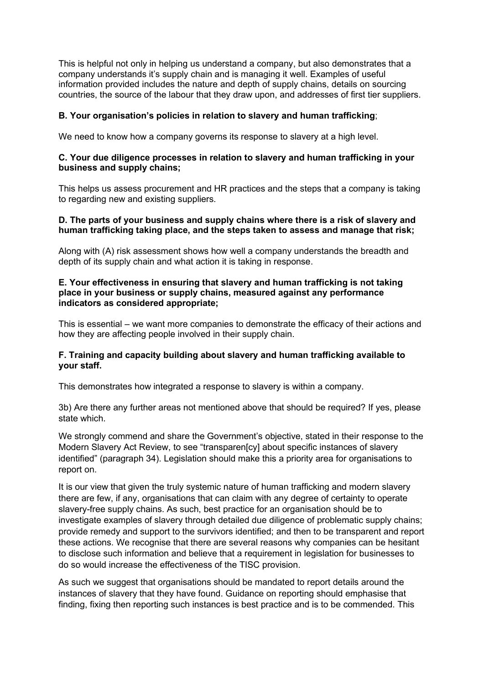This is helpful not only in helping us understand a company, but also demonstrates that a company understands it's supply chain and is managing it well. Examples of useful information provided includes the nature and depth of supply chains, details on sourcing countries, the source of the labour that they draw upon, and addresses of first tier suppliers.

## **B. Your organisation's policies in relation to slavery and human trafficking**;

We need to know how a company governs its response to slavery at a high level.

#### **C. Your due diligence processes in relation to slavery and human trafficking in your business and supply chains;**

This helps us assess procurement and HR practices and the steps that a company is taking to regarding new and existing suppliers.

#### **D. The parts of your business and supply chains where there is a risk of slavery and human trafficking taking place, and the steps taken to assess and manage that risk;**

Along with (A) risk assessment shows how well a company understands the breadth and depth of its supply chain and what action it is taking in response.

#### **E. Your effectiveness in ensuring that slavery and human trafficking is not taking place in your business or supply chains, measured against any performance indicators as considered appropriate;**

This is essential – we want more companies to demonstrate the efficacy of their actions and how they are affecting people involved in their supply chain.

## **F. Training and capacity building about slavery and human trafficking available to your staff.**

This demonstrates how integrated a response to slavery is within a company.

3b) Are there any further areas not mentioned above that should be required? If yes, please state which.

We strongly commend and share the Government's objective, stated in their response to the Modern Slavery Act Review, to see "transparen[cy] about specific instances of slavery identified" (paragraph 34). Legislation should make this a priority area for organisations to report on.

It is our view that given the truly systemic nature of human trafficking and modern slavery there are few, if any, organisations that can claim with any degree of certainty to operate slavery-free supply chains. As such, best practice for an organisation should be to investigate examples of slavery through detailed due diligence of problematic supply chains; provide remedy and support to the survivors identified; and then to be transparent and report these actions. We recognise that there are several reasons why companies can be hesitant to disclose such information and believe that a requirement in legislation for businesses to do so would increase the effectiveness of the TISC provision.

As such we suggest that organisations should be mandated to report details around the instances of slavery that they have found. Guidance on reporting should emphasise that finding, fixing then reporting such instances is best practice and is to be commended. This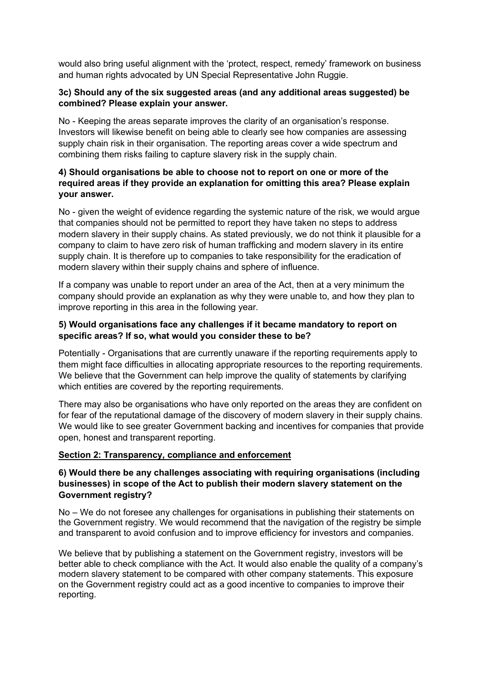would also bring useful alignment with the 'protect, respect, remedy' framework on business and human rights advocated by UN Special Representative John Ruggie.

## **3c) Should any of the six suggested areas (and any additional areas suggested) be combined? Please explain your answer.**

No - Keeping the areas separate improves the clarity of an organisation's response. Investors will likewise benefit on being able to clearly see how companies are assessing supply chain risk in their organisation. The reporting areas cover a wide spectrum and combining them risks failing to capture slavery risk in the supply chain.

# **4) Should organisations be able to choose not to report on one or more of the required areas if they provide an explanation for omitting this area? Please explain your answer.**

No - given the weight of evidence regarding the systemic nature of the risk, we would argue that companies should not be permitted to report they have taken no steps to address modern slavery in their supply chains. As stated previously, we do not think it plausible for a company to claim to have zero risk of human trafficking and modern slavery in its entire supply chain. It is therefore up to companies to take responsibility for the eradication of modern slavery within their supply chains and sphere of influence.

If a company was unable to report under an area of the Act, then at a very minimum the company should provide an explanation as why they were unable to, and how they plan to improve reporting in this area in the following year.

## **5) Would organisations face any challenges if it became mandatory to report on specific areas? If so, what would you consider these to be?**

Potentially - Organisations that are currently unaware if the reporting requirements apply to them might face difficulties in allocating appropriate resources to the reporting requirements. We believe that the Government can help improve the quality of statements by clarifying which entities are covered by the reporting requirements.

There may also be organisations who have only reported on the areas they are confident on for fear of the reputational damage of the discovery of modern slavery in their supply chains. We would like to see greater Government backing and incentives for companies that provide open, honest and transparent reporting.

## **Section 2: Transparency, compliance and enforcement**

## **6) Would there be any challenges associating with requiring organisations (including businesses) in scope of the Act to publish their modern slavery statement on the Government registry?**

No – We do not foresee any challenges for organisations in publishing their statements on the Government registry. We would recommend that the navigation of the registry be simple and transparent to avoid confusion and to improve efficiency for investors and companies.

We believe that by publishing a statement on the Government registry, investors will be better able to check compliance with the Act. It would also enable the quality of a company's modern slavery statement to be compared with other company statements. This exposure on the Government registry could act as a good incentive to companies to improve their reporting.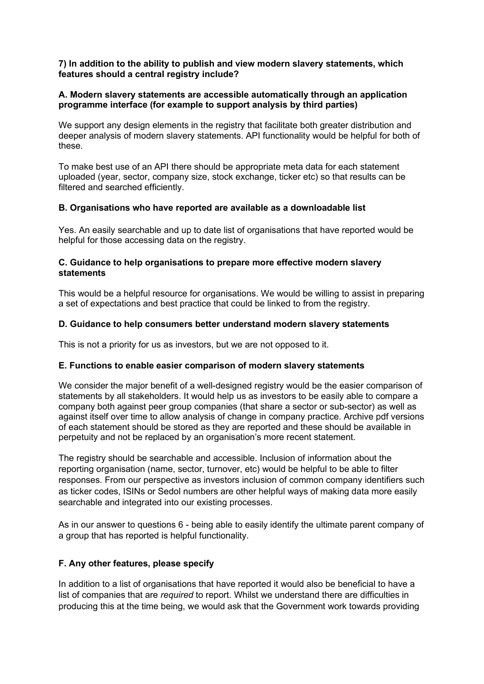### **7) In addition to the ability to publish and view modern slavery statements, which features should a central registry include?**

## **A. Modern slavery statements are accessible automatically through an application programme interface (for example to support analysis by third parties)**

We support any design elements in the registry that facilitate both greater distribution and deeper analysis of modern slavery statements. API functionality would be helpful for both of these.

To make best use of an API there should be appropriate meta data for each statement uploaded (year, sector, company size, stock exchange, ticker etc) so that results can be filtered and searched efficiently.

#### **B. Organisations who have reported are available as a downloadable list**

Yes. An easily searchable and up to date list of organisations that have reported would be helpful for those accessing data on the registry.

### **C. Guidance to help organisations to prepare more effective modern slavery statements**

This would be a helpful resource for organisations. We would be willing to assist in preparing a set of expectations and best practice that could be linked to from the registry.

## **D. Guidance to help consumers better understand modern slavery statements**

This is not a priority for us as investors, but we are not opposed to it.

## **E. Functions to enable easier comparison of modern slavery statements**

We consider the major benefit of a well-designed registry would be the easier comparison of statements by all stakeholders. It would help us as investors to be easily able to compare a company both against peer group companies (that share a sector or sub-sector) as well as against itself over time to allow analysis of change in company practice. Archive pdf versions of each statement should be stored as they are reported and these should be available in perpetuity and not be replaced by an organisation's more recent statement.

The registry should be searchable and accessible. Inclusion of information about the reporting organisation (name, sector, turnover, etc) would be helpful to be able to filter responses. From our perspective as investors inclusion of common company identifiers such as ticker codes, ISINs or Sedol numbers are other helpful ways of making data more easily searchable and integrated into our existing processes.

As in our answer to questions 6 - being able to easily identify the ultimate parent company of a group that has reported is helpful functionality.

#### **F. Any other features, please specify**

In addition to a list of organisations that have reported it would also be beneficial to have a list of companies that are *required* to report. Whilst we understand there are difficulties in producing this at the time being, we would ask that the Government work towards providing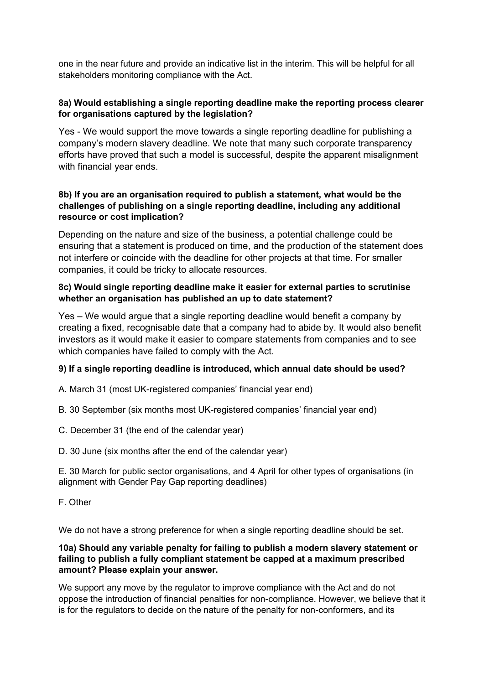one in the near future and provide an indicative list in the interim. This will be helpful for all stakeholders monitoring compliance with the Act.

# **8a) Would establishing a single reporting deadline make the reporting process clearer for organisations captured by the legislation?**

Yes - We would support the move towards a single reporting deadline for publishing a company's modern slavery deadline. We note that many such corporate transparency efforts have proved that such a model is successful, despite the apparent misalignment with financial year ends.

# **8b) If you are an organisation required to publish a statement, what would be the challenges of publishing on a single reporting deadline, including any additional resource or cost implication?**

Depending on the nature and size of the business, a potential challenge could be ensuring that a statement is produced on time, and the production of the statement does not interfere or coincide with the deadline for other projects at that time. For smaller companies, it could be tricky to allocate resources.

# **8c) Would single reporting deadline make it easier for external parties to scrutinise whether an organisation has published an up to date statement?**

Yes – We would argue that a single reporting deadline would benefit a company by creating a fixed, recognisable date that a company had to abide by. It would also benefit investors as it would make it easier to compare statements from companies and to see which companies have failed to comply with the Act.

# **9) If a single reporting deadline is introduced, which annual date should be used?**

A. March 31 (most UK-registered companies' financial year end)

B. 30 September (six months most UK-registered companies' financial year end)

C. December 31 (the end of the calendar year)

D. 30 June (six months after the end of the calendar year)

E. 30 March for public sector organisations, and 4 April for other types of organisations (in alignment with Gender Pay Gap reporting deadlines)

F. Other

We do not have a strong preference for when a single reporting deadline should be set.

## **10a) Should any variable penalty for failing to publish a modern slavery statement or failing to publish a fully compliant statement be capped at a maximum prescribed amount? Please explain your answer.**

We support any move by the regulator to improve compliance with the Act and do not oppose the introduction of financial penalties for non-compliance. However, we believe that it is for the regulators to decide on the nature of the penalty for non-conformers, and its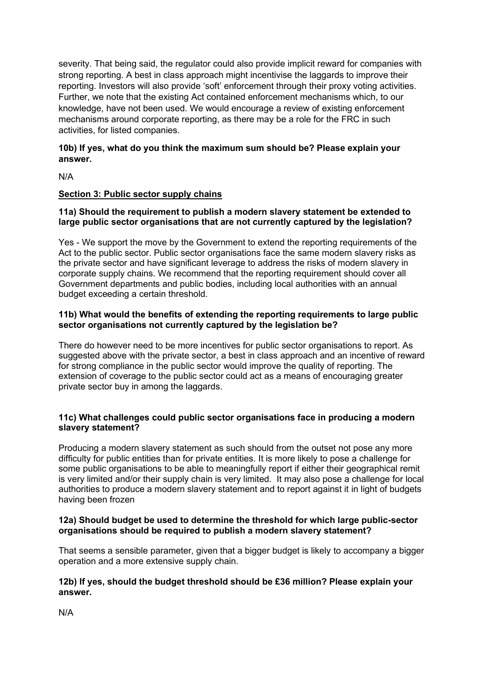severity. That being said, the regulator could also provide implicit reward for companies with strong reporting. A best in class approach might incentivise the laggards to improve their reporting. Investors will also provide 'soft' enforcement through their proxy voting activities. Further, we note that the existing Act contained enforcement mechanisms which, to our knowledge, have not been used. We would encourage a review of existing enforcement mechanisms around corporate reporting, as there may be a role for the FRC in such activities, for listed companies.

# **10b) If yes, what do you think the maximum sum should be? Please explain your answer.**

N/A

# **Section 3: Public sector supply chains**

## **11a) Should the requirement to publish a modern slavery statement be extended to large public sector organisations that are not currently captured by the legislation?**

Yes - We support the move by the Government to extend the reporting requirements of the Act to the public sector. Public sector organisations face the same modern slavery risks as the private sector and have significant leverage to address the risks of modern slavery in corporate supply chains. We recommend that the reporting requirement should cover all Government departments and public bodies, including local authorities with an annual budget exceeding a certain threshold.

#### **11b) What would the benefits of extending the reporting requirements to large public sector organisations not currently captured by the legislation be?**

There do however need to be more incentives for public sector organisations to report. As suggested above with the private sector, a best in class approach and an incentive of reward for strong compliance in the public sector would improve the quality of reporting. The extension of coverage to the public sector could act as a means of encouraging greater private sector buy in among the laggards.

## **11c) What challenges could public sector organisations face in producing a modern slavery statement?**

Producing a modern slavery statement as such should from the outset not pose any more difficulty for public entities than for private entities. It is more likely to pose a challenge for some public organisations to be able to meaningfully report if either their geographical remit is very limited and/or their supply chain is very limited. It may also pose a challenge for local authorities to produce a modern slavery statement and to report against it in light of budgets having been frozen

## **12a) Should budget be used to determine the threshold for which large public-sector organisations should be required to publish a modern slavery statement?**

That seems a sensible parameter, given that a bigger budget is likely to accompany a bigger operation and a more extensive supply chain.

#### **12b) If yes, should the budget threshold should be £36 million? Please explain your answer.**

N/A